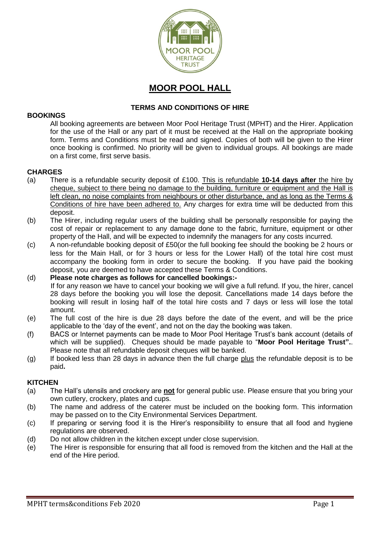

# **MOOR POOL HALL**

# **TERMS AND CONDITIONS OF HIRE**

#### **BOOKINGS**

All booking agreements are between Moor Pool Heritage Trust (MPHT) and the Hirer. Application for the use of the Hall or any part of it must be received at the Hall on the appropriate booking form. Terms and Conditions must be read and signed. Copies of both will be given to the Hirer once booking is confirmed. No priority will be given to individual groups. All bookings are made on a first come, first serve basis.

#### **CHARGES**

- (a) There is a refundable security deposit of £100. This is refundable **10-14 days after** the hire by cheque, subject to there being no damage to the building, furniture or equipment and the Hall is left clean, no noise complaints from neighbours or other disturbance, and as long as the Terms & Conditions of hire have been adhered to. Any charges for extra time will be deducted from this deposit.
- (b) The Hirer, including regular users of the building shall be personally responsible for paying the cost of repair or replacement to any damage done to the fabric, furniture, equipment or other property of the Hall, and will be expected to indemnify the managers for any costs incurred.
- (c) A non-refundable booking deposit of £50(or the full booking fee should the booking be 2 hours or less for the Main Hall, or for 3 hours or less for the Lower Hall) of the total hire cost must accompany the booking form in order to secure the booking. If you have paid the booking deposit, you are deemed to have accepted these Terms & Conditions.
- (d) **Please note charges as follows for cancelled bookings:-** If for any reason we have to cancel your booking we will give a full refund. If you, the hirer, cancel 28 days before the booking you will lose the deposit. Cancellations made 14 days before the booking will result in losing half of the total hire costs and 7 days or less will lose the total amount.
- (e) The full cost of the hire is due 28 days before the date of the event, and will be the price applicable to the 'day of the event', and not on the day the booking was taken.
- (f) BACS or Internet payments can be made to Moor Pool Heritage Trust's bank account (details of which will be supplied). Cheques should be made payable to "**Moor Pool Heritage Trust".**. Please note that all refundable deposit cheques will be banked.
- $(g)$  If booked less than 28 days in advance then the full charge plus the refundable deposit is to be paid**.**

#### **KITCHEN**

- (a) The Hall's utensils and crockery are **not** for general public use. Please ensure that you bring your own cutlery, crockery, plates and cups.
- (b) The name and address of the caterer must be included on the booking form. This information may be passed on to the City Environmental Services Department.
- (c) If preparing or serving food it is the Hirer's responsibility to ensure that all food and hygiene regulations are observed.
- (d) Do not allow children in the kitchen except under close supervision.
- (e) The Hirer is responsible for ensuring that all food is removed from the kitchen and the Hall at the end of the Hire period.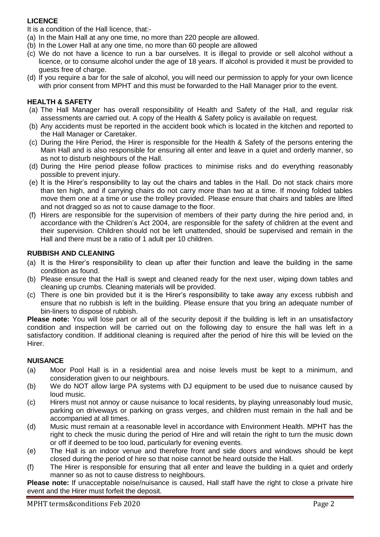# **LICENCE**

It is a condition of the Hall licence, that:-

- (a) In the Main Hall at any one time, no more than 220 people are allowed.
- (b) In the Lower Hall at any one time, no more than 60 people are allowed
- (c) We do not have a licence to run a bar ourselves. It is illegal to provide or sell alcohol without a licence, or to consume alcohol under the age of 18 years. If alcohol is provided it must be provided to guests free of charge.
- (d) If you require a bar for the sale of alcohol, you will need our permission to apply for your own licence with prior consent from MPHT and this must be forwarded to the Hall Manager prior to the event.

# **HEALTH & SAFETY**

- (a) The Hall Manager has overall responsibility of Health and Safety of the Hall, and regular risk assessments are carried out. A copy of the Health & Safety policy is available on request.
- (b) Any accidents must be reported in the accident book which is located in the kitchen and reported to the Hall Manager or Caretaker.
- (c) During the Hire Period, the Hirer is responsible for the Health & Safety of the persons entering the Main Hall and is also responsible for ensuring all enter and leave in a quiet and orderly manner, so as not to disturb neighbours of the Hall.
- (d) During the Hire period please follow practices to minimise risks and do everything reasonably possible to prevent injury.
- (e) It is the Hirer's responsibility to lay out the chairs and tables in the Hall. Do not stack chairs more than ten high, and if carrying chairs do not carry more than two at a time. If moving folded tables move them one at a time or use the trolley provided. Please ensure that chairs and tables are lifted and not dragged so as not to cause damage to the floor.
- (f) Hirers are responsible for the supervision of members of their party during the hire period and, in accordance with the Children's Act 2004, are responsible for the safety of children at the event and their supervision. Children should not be left unattended, should be supervised and remain in the Hall and there must be a ratio of 1 adult per 10 children.

## **RUBBISH AND CLEANING**

- (a) It is the Hirer's responsibility to clean up after their function and leave the building in the same condition as found.
- (b) Please ensure that the Hall is swept and cleaned ready for the next user, wiping down tables and cleaning up crumbs. Cleaning materials will be provided.
- (c) There is one bin provided but it is the Hirer's responsibility to take away any excess rubbish and ensure that no rubbish is left in the building. Please ensure that you bring an adequate number of bin-liners to dispose of rubbish.

**Please note:** You will lose part or all of the security deposit if the building is left in an unsatisfactory condition and inspection will be carried out on the following day to ensure the hall was left in a satisfactory condition. If additional cleaning is required after the period of hire this will be levied on the Hirer.

#### **NUISANCE**

- (a) Moor Pool Hall is in a residential area and noise levels must be kept to a minimum, and consideration given to our neighbours.
- (b) We do NOT allow large PA systems with DJ equipment to be used due to nuisance caused by loud music.
- (c) Hirers must not annoy or cause nuisance to local residents, by playing unreasonably loud music, parking on driveways or parking on grass verges, and children must remain in the hall and be accompanied at all times.
- (d) Music must remain at a reasonable level in accordance with Environment Health. MPHT has the right to check the music during the period of Hire and will retain the right to turn the music down or off if deemed to be too loud, particularly for evening events.
- (e) The Hall is an indoor venue and therefore front and side doors and windows should be kept closed during the period of hire so that noise cannot be heard outside the Hall.
- (f) The Hirer is responsible for ensuring that all enter and leave the building in a quiet and orderly manner so as not to cause distress to neighbours.

**Please note:** If unacceptable noise/nuisance is caused, Hall staff have the right to close a private hire event and the Hirer must forfeit the deposit.